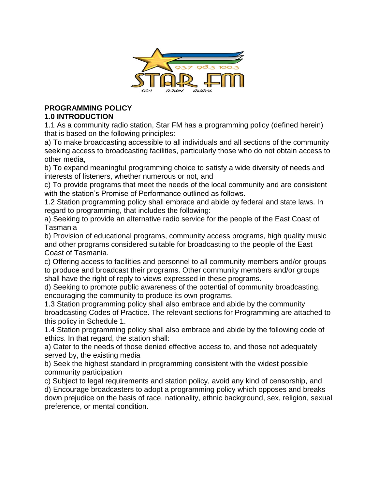

#### **PROGRAMMING POLICY 1.0 INTRODUCTION**

1.1 As a community radio station, Star FM has a programming policy (defined herein) that is based on the following principles:

a) To make broadcasting accessible to all individuals and all sections of the community seeking access to broadcasting facilities, particularly those who do not obtain access to other media,

b) To expand meaningful programming choice to satisfy a wide diversity of needs and interests of listeners, whether numerous or not, and

c) To provide programs that meet the needs of the local community and are consistent with the station's Promise of Performance outlined as follows.

1.2 Station programming policy shall embrace and abide by federal and state laws. In regard to programming, that includes the following:

a) Seeking to provide an alternative radio service for the people of the East Coast of Tasmania

b) Provision of educational programs, community access programs, high quality music and other programs considered suitable for broadcasting to the people of the East Coast of Tasmania.

c) Offering access to facilities and personnel to all community members and/or groups to produce and broadcast their programs. Other community members and/or groups shall have the right of reply to views expressed in these programs.

d) Seeking to promote public awareness of the potential of community broadcasting, encouraging the community to produce its own programs.

1.3 Station programming policy shall also embrace and abide by the community broadcasting Codes of Practice. The relevant sections for Programming are attached to this policy in Schedule 1.

1.4 Station programming policy shall also embrace and abide by the following code of ethics. In that regard, the station shall:

a) Cater to the needs of those denied effective access to, and those not adequately served by, the existing media

b) Seek the highest standard in programming consistent with the widest possible community participation

c) Subject to legal requirements and station policy, avoid any kind of censorship, and d) Encourage broadcasters to adopt a programming policy which opposes and breaks down prejudice on the basis of race, nationality, ethnic background, sex, religion, sexual preference, or mental condition.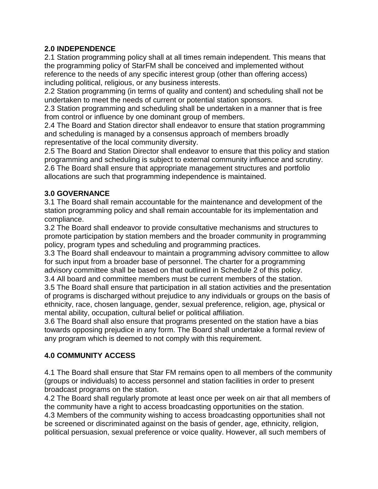## **2.0 INDEPENDENCE**

2.1 Station programming policy shall at all times remain independent. This means that the programming policy of StarFM shall be conceived and implemented without reference to the needs of any specific interest group (other than offering access) including political, religious, or any business interests.

2.2 Station programming (in terms of quality and content) and scheduling shall not be undertaken to meet the needs of current or potential station sponsors.

2.3 Station programming and scheduling shall be undertaken in a manner that is free from control or influence by one dominant group of members.

2.4 The Board and Station director shall endeavor to ensure that station programming and scheduling is managed by a consensus approach of members broadly representative of the local community diversity.

2.5 The Board and Station Director shall endeavor to ensure that this policy and station programming and scheduling is subject to external community influence and scrutiny. 2.6 The Board shall ensure that appropriate management structures and portfolio allocations are such that programming independence is maintained.

## **3.0 GOVERNANCE**

3.1 The Board shall remain accountable for the maintenance and development of the station programming policy and shall remain accountable for its implementation and compliance.

3.2 The Board shall endeavor to provide consultative mechanisms and structures to promote participation by station members and the broader community in programming policy, program types and scheduling and programming practices.

3.3 The Board shall endeavour to maintain a programming advisory committee to allow for such input from a broader base of personnel. The charter for a programming advisory committee shall be based on that outlined in Schedule 2 of this policy.

3.4 All board and committee members must be current members of the station.

3.5 The Board shall ensure that participation in all station activities and the presentation of programs is discharged without prejudice to any individuals or groups on the basis of ethnicity, race, chosen language, gender, sexual preference, religion, age, physical or mental ability, occupation, cultural belief or political affiliation.

3.6 The Board shall also ensure that programs presented on the station have a bias towards opposing prejudice in any form. The Board shall undertake a formal review of any program which is deemed to not comply with this requirement.

## **4.0 COMMUNITY ACCESS**

4.1 The Board shall ensure that Star FM remains open to all members of the community (groups or individuals) to access personnel and station facilities in order to present broadcast programs on the station.

4.2 The Board shall regularly promote at least once per week on air that all members of the community have a right to access broadcasting opportunities on the station. 4.3 Members of the community wishing to access broadcasting opportunities shall not be screened or discriminated against on the basis of gender, age, ethnicity, religion, political persuasion, sexual preference or voice quality. However, all such members of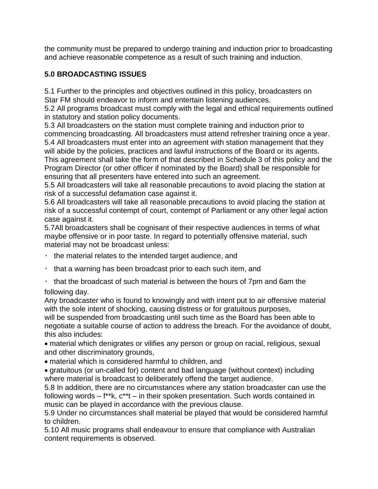the community must be prepared to undergo training and induction prior to broadcasting and achieve reasonable competence as a result of such training and induction.

# **5.0 BROADCASTING ISSUES**

5.1 Further to the principles and objectives outlined in this policy, broadcasters on Star FM should endeavor to inform and entertain listening audiences.

5.2 All programs broadcast must comply with the legal and ethical requirements outlined in statutory and station policy documents.

5.3 All broadcasters on the station must complete training and induction prior to commencing broadcasting. All broadcasters must attend refresher training once a year. 5.4 All broadcasters must enter into an agreement with station management that they will abide by the policies, practices and lawful instructions of the Board or its agents. This agreement shall take the form of that described in Schedule 3 of this policy and the Program Director (or other officer if nominated by the Board) shall be responsible for

ensuring that all presenters have entered into such an agreement.

5.5 All broadcasters will take all reasonable precautions to avoid placing the station at risk of a successful defamation case against it.

5.6 All broadcasters will take all reasonable precautions to avoid placing the station at risk of a successful contempt of court, contempt of Parliament or any other legal action case against it.

5.7All broadcasters shall be cognisant of their respective audiences in terms of what maybe offensive or in poor taste. In regard to potentially offensive material, such material may not be broadcast unless:

- $\cdot$  the material relates to the intended target audience, and
- $\cdot$  that a warning has been broadcast prior to each such item, and
- $\cdot$  that the broadcast of such material is between the hours of 7pm and 6am the following day.

Any broadcaster who is found to knowingly and with intent put to air offensive material with the sole intent of shocking, causing distress or for gratuitous purposes,

will be suspended from broadcasting until such time as the Board has been able to negotiate a suitable course of action to address the breach. For the avoidance of doubt, this also includes:

material which denigrates or vilifies any person or group on racial, religious, sexual and other discriminatory grounds,

material which is considered harmful to children, and

gratuitous (or un-called for) content and bad language (without context) including where material is broadcast to deliberately offend the target audience.

5.8 In addition, there are no circumstances where any station broadcaster can use the following words – f\*\*k, c\*\*t – in their spoken presentation. Such words contained in music can be played in accordance with the previous clause.

5.9 Under no circumstances shall material be played that would be considered harmful to children.

5.10 All music programs shall endeavour to ensure that compliance with Australian content requirements is observed.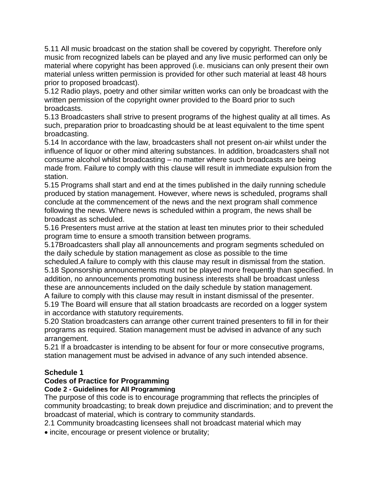5.11 All music broadcast on the station shall be covered by copyright. Therefore only music from recognized labels can be played and any live music performed can only be material where copyright has been approved (i.e. musicians can only present their own material unless written permission is provided for other such material at least 48 hours prior to proposed broadcast).

5.12 Radio plays, poetry and other similar written works can only be broadcast with the written permission of the copyright owner provided to the Board prior to such broadcasts.

5.13 Broadcasters shall strive to present programs of the highest quality at all times. As such, preparation prior to broadcasting should be at least equivalent to the time spent broadcasting.

5.14 In accordance with the law, broadcasters shall not present on-air whilst under the influence of liquor or other mind altering substances. In addition, broadcasters shall not consume alcohol whilst broadcasting – no matter where such broadcasts are being made from. Failure to comply with this clause will result in immediate expulsion from the station.

5.15 Programs shall start and end at the times published in the daily running schedule produced by station management. However, where news is scheduled, programs shall conclude at the commencement of the news and the next program shall commence following the news. Where news is scheduled within a program, the news shall be broadcast as scheduled.

5.16 Presenters must arrive at the station at least ten minutes prior to their scheduled program time to ensure a smooth transition between programs.

5.17Broadcasters shall play all announcements and program segments scheduled on the daily schedule by station management as close as possible to the time

scheduled.A failure to comply with this clause may result in dismissal from the station. 5.18 Sponsorship announcements must not be played more frequently than specified. In addition, no announcements promoting business interests shall be broadcast unless these are announcements included on the daily schedule by station management.

A failure to comply with this clause may result in instant dismissal of the presenter.

5.19 The Board will ensure that all station broadcasts are recorded on a logger system in accordance with statutory requirements.

5.20 Station broadcasters can arrange other current trained presenters to fill in for their programs as required. Station management must be advised in advance of any such arrangement.

5.21 If a broadcaster is intending to be absent for four or more consecutive programs, station management must be advised in advance of any such intended absence.

### **Schedule 1**

## **Codes of Practice for Programming**

### **Code 2 - Guidelines for All Programming**

The purpose of this code is to encourage programming that reflects the principles of community broadcasting; to break down prejudice and discrimination; and to prevent the broadcast of material, which is contrary to community standards.

2.1 Community broadcasting licensees shall not broadcast material which may

• incite, encourage or present violence or brutality;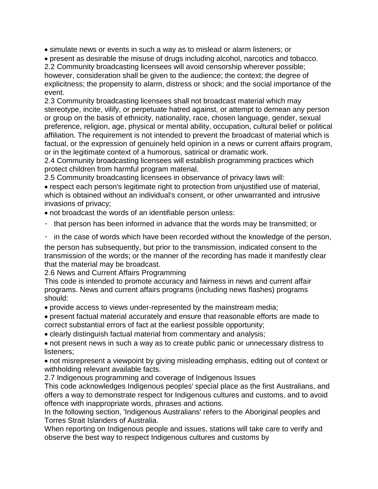simulate news or events in such a way as to mislead or alarm listeners; or

present as desirable the misuse of drugs including alcohol, narcotics and tobacco. 2.2 Community broadcasting licensees will avoid censorship wherever possible; however, consideration shall be given to the audience; the context; the degree of explicitness; the propensity to alarm, distress or shock; and the social importance of the event.

2.3 Community broadcasting licensees shall not broadcast material which may stereotype, incite, vilify, or perpetuate hatred against, or attempt to demean any person or group on the basis of ethnicity, nationality, race, chosen language, gender, sexual preference, religion, age, physical or mental ability, occupation, cultural belief or political affiliation. The requirement is not intended to prevent the broadcast of material which is factual, or the expression of genuinely held opinion in a news or current affairs program, or in the legitimate context of a humorous, satirical or dramatic work.

2.4 Community broadcasting licensees will establish programming practices which protect children from harmful program material.

2.5 Community broadcasting licensees in observance of privacy laws will:

respect each person's legitimate right to protection from unjustified use of material, which is obtained without an individual's consent, or other unwarranted and intrusive invasions of privacy;

not broadcast the words of an identifiable person unless:

- $\cdot$  that person has been informed in advance that the words may be transmitted; or
- $\cdot$  in the case of words which have been recorded without the knowledge of the person,

the person has subsequently, but prior to the transmission, indicated consent to the transmission of the words; or the manner of the recording has made it manifestly clear that the material may be broadcast.

2.6 News and Current Affairs Programming

This code is intended to promote accuracy and fairness in news and current affair programs. News and current affairs programs (including news flashes) programs should:

provide access to views under-represented by the mainstream media;

present factual material accurately and ensure that reasonable efforts are made to correct substantial errors of fact at the earliest possible opportunity;

clearly distinguish factual material from commentary and analysis;

not present news in such a way as to create public panic or unnecessary distress to listeners;

not misrepresent a viewpoint by giving misleading emphasis, editing out of context or withholding relevant available facts.

2.7 Indigenous programming and coverage of Indigenous Issues

This code acknowledges Indigenous peoples' special place as the first Australians, and offers a way to demonstrate respect for Indigenous cultures and customs, and to avoid offence with inappropriate words, phrases and actions.

In the following section, 'Indigenous Australians' refers to the Aboriginal peoples and Torres Strait Islanders of Australia.

When reporting on Indigenous people and issues, stations will take care to verify and observe the best way to respect Indigenous cultures and customs by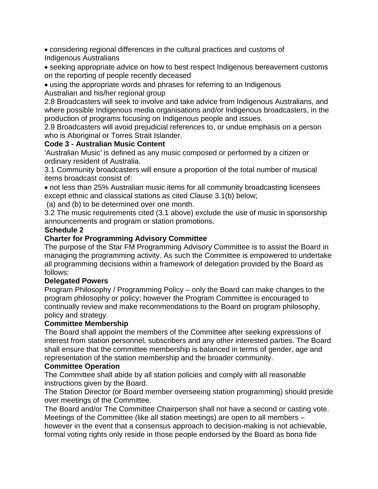considering regional differences in the cultural practices and customs of Indigenous Australians

seeking appropriate advice on how to best respect Indigenous bereavement customs on the reporting of people recently deceased

using the appropriate words and phrases for referring to an Indigenous Australian and his/her regional group

2.8 Broadcasters will seek to involve and take advice from Indigenous Australians, and where possible Indigenous media organisations and/or Indigenous broadcasters, in the production of programs focusing on Indigenous people and issues.

2.9 Broadcasters will avoid prejudicial references to, or undue emphasis on a person who is Aboriginal or Torres Strait Islander.

### **Code 3 - Australian Music Content**

'Australian Music' is defined as any music composed or performed by a citizen or ordinary resident of Australia.

3.1 Community broadcasters will ensure a proportion of the total number of musical items broadcast consist of:

not less than 25% Australian music items for all community broadcasting licensees except ethnic and classical stations as cited Clause 3.1(b) below;

(a) and (b) to be determined over one month.

3.2 The music requirements cited (3.1 above) exclude the use of music in sponsorship announcements and program or station promotions.

#### **Schedule 2**

### **Charter for Programming Advisory Committee**

The purpose of the Star FM Programming Advisory Committee is to assist the Board in managing the programming activity. As such the Committee is empowered to undertake all programming decisions within a framework of delegation provided by the Board as follows:

#### **Delegated Powers**

Program Philosophy / Programming Policy – only the Board can make changes to the program philosophy or policy; however the Program Committee is encouraged to continually review and make recommendations to the Board on program philosophy, policy and strategy.

#### **Committee Membership**

The Board shall appoint the members of the Committee after seeking expressions of interest from station personnel, subscribers and any other interested parties. The Board shall ensure that the committee membership is balanced in terms of gender, age and representation of the station membership and the broader community.

#### **Committee Operation**

The Committee shall abide by all station policies and comply with all reasonable instructions given by the Board.

The Station Director (or Board member overseeing station programming) should preside over meetings of the Committee.

The Board and/or The Committee Chairperson shall not have a second or casting vote. Meetings of the Committee (like all station meetings) are open to all members – however in the event that a consensus approach to decision-making is not achievable, formal voting rights only reside in those people endorsed by the Board as bona fide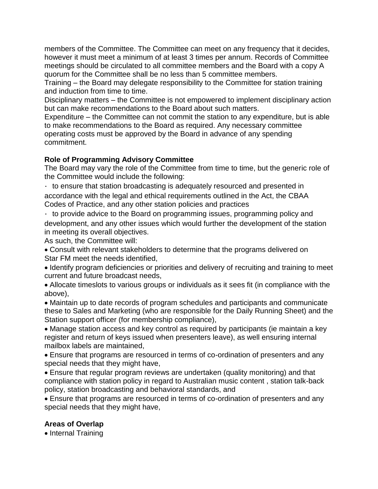members of the Committee. The Committee can meet on any frequency that it decides, however it must meet a minimum of at least 3 times per annum. Records of Committee meetings should be circulated to all committee members and the Board with a copy A quorum for the Committee shall be no less than 5 committee members.

Training – the Board may delegate responsibility to the Committee for station training and induction from time to time.

Disciplinary matters – the Committee is not empowered to implement disciplinary action but can make recommendations to the Board about such matters.

Expenditure – the Committee can not commit the station to any expenditure, but is able to make recommendations to the Board as required. Any necessary committee operating costs must be approved by the Board in advance of any spending commitment.

### **Role of Programming Advisory Committee**

The Board may vary the role of the Committee from time to time, but the generic role of the Committee would include the following:

 $\cdot$  to ensure that station broadcasting is adequately resourced and presented in accordance with the legal and ethical requirements outlined in the Act, the CBAA Codes of Practice, and any other station policies and practices

 $\cdot$  to provide advice to the Board on programming issues, programming policy and development, and any other issues which would further the development of the station in meeting its overall objectives.

As such, the Committee will:

Consult with relevant stakeholders to determine that the programs delivered on Star FM meet the needs identified,

• Identify program deficiencies or priorities and delivery of recruiting and training to meet current and future broadcast needs,

Allocate timeslots to various groups or individuals as it sees fit (in compliance with the above),

Maintain up to date records of program schedules and participants and communicate these to Sales and Marketing (who are responsible for the Daily Running Sheet) and the Station support officer (for membership compliance),

Manage station access and key control as required by participants (ie maintain a key register and return of keys issued when presenters leave), as well ensuring internal mailbox labels are maintained,

Ensure that programs are resourced in terms of co-ordination of presenters and any special needs that they might have,

Ensure that regular program reviews are undertaken (quality monitoring) and that compliance with station policy in regard to Australian music content , station talk-back policy, station broadcasting and behavioral standards, and

Ensure that programs are resourced in terms of co-ordination of presenters and any special needs that they might have,

## **Areas of Overlap**

• Internal Training